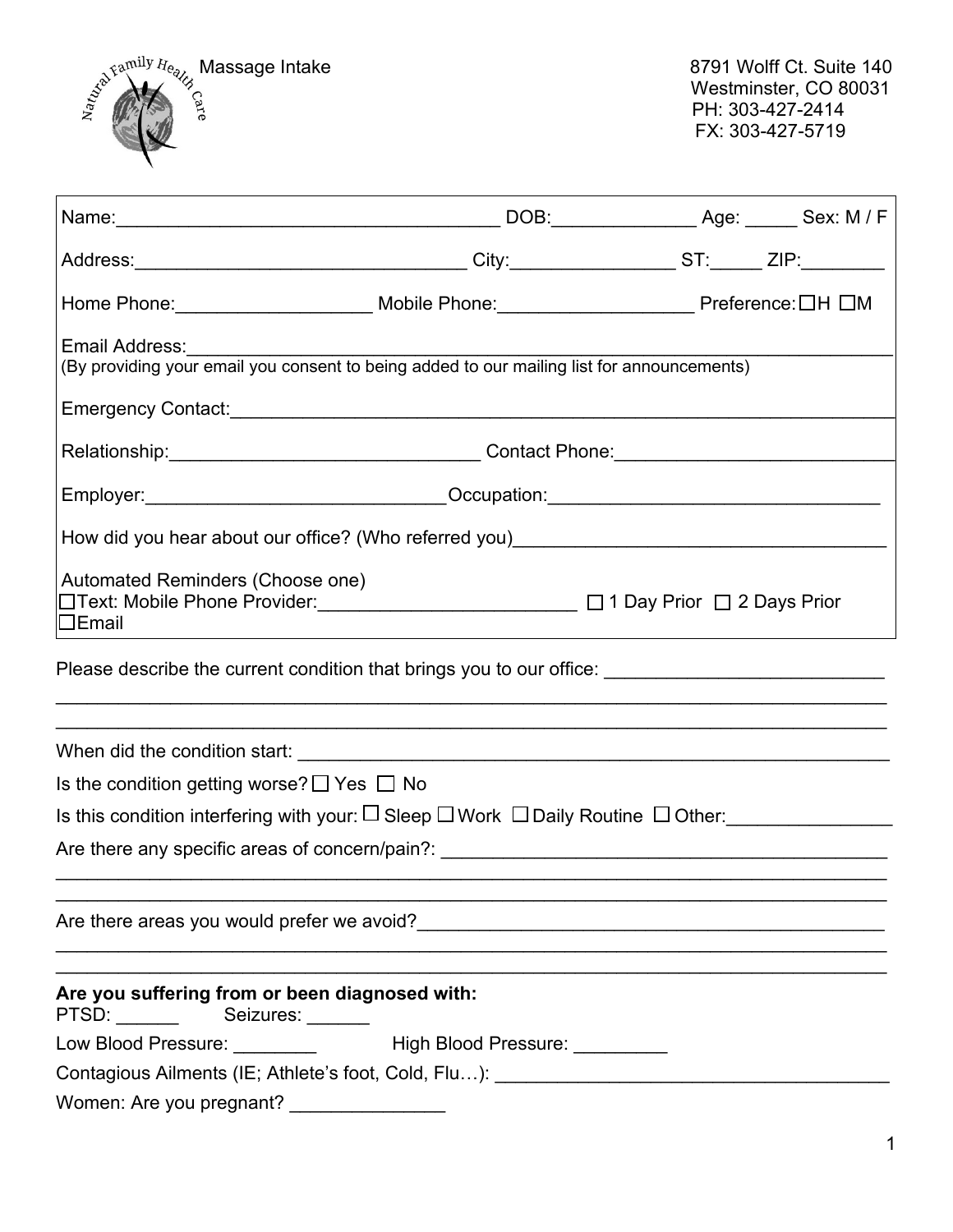

|                                                                                                                                                           |                                                                                                              | Address:__________________________________City:______________ST:_____ ZIP:_______                                                                                                                                              |  |  |  |  |
|-----------------------------------------------------------------------------------------------------------------------------------------------------------|--------------------------------------------------------------------------------------------------------------|--------------------------------------------------------------------------------------------------------------------------------------------------------------------------------------------------------------------------------|--|--|--|--|
|                                                                                                                                                           |                                                                                                              | Home Phone:____________________________Mobile Phone:____________________________Preference:□H □M                                                                                                                               |  |  |  |  |
|                                                                                                                                                           | Email Address:<br>(By providing your email you consent to being added to our mailing list for announcements) |                                                                                                                                                                                                                                |  |  |  |  |
|                                                                                                                                                           |                                                                                                              |                                                                                                                                                                                                                                |  |  |  |  |
|                                                                                                                                                           |                                                                                                              |                                                                                                                                                                                                                                |  |  |  |  |
|                                                                                                                                                           |                                                                                                              | Relationship:__________________________________Contact Phone:___________________                                                                                                                                               |  |  |  |  |
|                                                                                                                                                           |                                                                                                              | Employer:_________________________________Occupation:___________________________                                                                                                                                               |  |  |  |  |
|                                                                                                                                                           |                                                                                                              | How did you hear about our office? (Who referred you) [19] The manuscription of the state of the state of the state of the state of the state of the state of the state of the state of the state of the state of the state of |  |  |  |  |
| Automated Reminders (Choose one)<br>$\square$ Email                                                                                                       | □Text: Mobile Phone Provider: ________________________ □ 1 Day Prior □ 2 Days Prior                          |                                                                                                                                                                                                                                |  |  |  |  |
| Please describe the current condition that brings you to our office:<br>,我们也不能在这里的人,我们也不能在这里的人,我们也不能在这里的人,我们也不能在这里的人,我们也不能在这里的人,我们也不能在这里的人,我们也不能在这里的人,我们也 |                                                                                                              |                                                                                                                                                                                                                                |  |  |  |  |
|                                                                                                                                                           |                                                                                                              |                                                                                                                                                                                                                                |  |  |  |  |
| Is the condition getting worse? $\Box$ Yes $\Box$ No                                                                                                      |                                                                                                              |                                                                                                                                                                                                                                |  |  |  |  |
| Is this condition interfering with your: $\square$ Sleep $\square$ Work $\Box$ Daily Routine $\square$ Other:                                             |                                                                                                              |                                                                                                                                                                                                                                |  |  |  |  |
|                                                                                                                                                           |                                                                                                              |                                                                                                                                                                                                                                |  |  |  |  |
|                                                                                                                                                           |                                                                                                              |                                                                                                                                                                                                                                |  |  |  |  |
| Are you suffering from or been diagnosed with:<br>PTSD: Seizures: ______                                                                                  |                                                                                                              |                                                                                                                                                                                                                                |  |  |  |  |
|                                                                                                                                                           | Low Blood Pressure: ____________ High Blood Pressure: _________                                              |                                                                                                                                                                                                                                |  |  |  |  |
|                                                                                                                                                           |                                                                                                              |                                                                                                                                                                                                                                |  |  |  |  |
| Women: Are you pregnant? _____________                                                                                                                    |                                                                                                              |                                                                                                                                                                                                                                |  |  |  |  |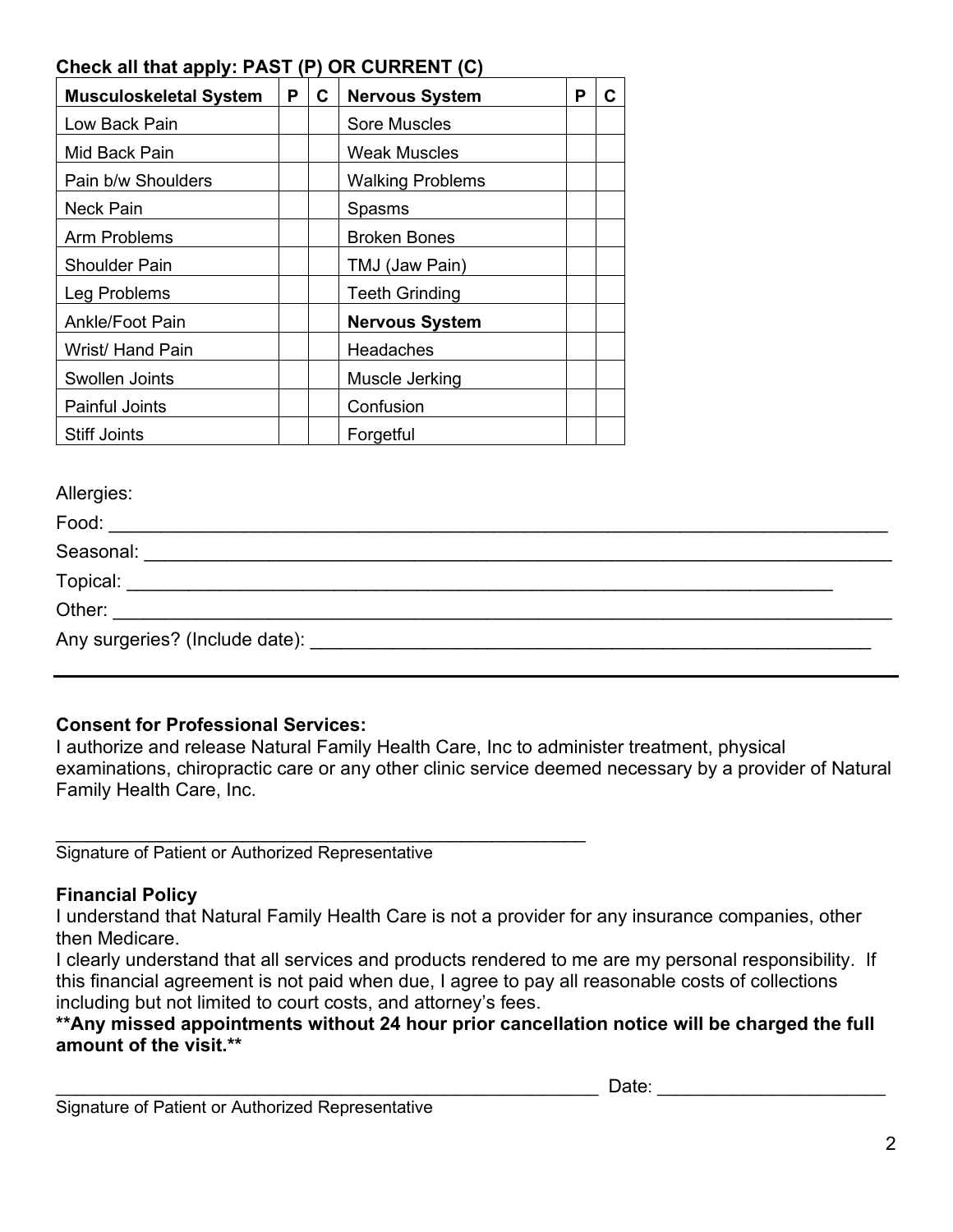# **Check all that apply: PAST (P) OR CURRENT (C)**

| <b>Musculoskeletal System</b> | P | C | <b>Nervous System</b>   | Р |  |
|-------------------------------|---|---|-------------------------|---|--|
| Low Back Pain                 |   |   | <b>Sore Muscles</b>     |   |  |
| Mid Back Pain                 |   |   | <b>Weak Muscles</b>     |   |  |
| Pain b/w Shoulders            |   |   | <b>Walking Problems</b> |   |  |
| <b>Neck Pain</b>              |   |   | Spasms                  |   |  |
| Arm Problems                  |   |   | <b>Broken Bones</b>     |   |  |
| <b>Shoulder Pain</b>          |   |   | TMJ (Jaw Pain)          |   |  |
| Leg Problems                  |   |   | <b>Teeth Grinding</b>   |   |  |
| Ankle/Foot Pain               |   |   | <b>Nervous System</b>   |   |  |
| Wrist/ Hand Pain              |   |   | <b>Headaches</b>        |   |  |
| Swollen Joints                |   |   | Muscle Jerking          |   |  |
| <b>Painful Joints</b>         |   |   | Confusion               |   |  |
| <b>Stiff Joints</b>           |   |   | Forgetful               |   |  |

Allergies:

| Food:                                                                                                                                                                                                                          |  |
|--------------------------------------------------------------------------------------------------------------------------------------------------------------------------------------------------------------------------------|--|
| Seasonal:                                                                                                                                                                                                                      |  |
| <b>Topical:</b> Topical:                                                                                                                                                                                                       |  |
| Other: when the contract of the contract of the contract of the contract of the contract of the contract of the contract of the contract of the contract of the contract of the contract of the contract of the contract of th |  |
| Any surgeries? (Include date): Manual Communication of the contract of the contract of the contract of the contract of the contract of the contract of the contract of the contract of the contract of the contract of the con |  |

## **Consent for Professional Services:**

I authorize and release Natural Family Health Care, Inc to administer treatment, physical examinations, chiropractic care or any other clinic service deemed necessary by a provider of Natural Family Health Care, Inc.

\_\_\_\_\_\_\_\_\_\_\_\_\_\_\_\_\_\_\_\_\_\_\_\_\_\_\_\_\_\_\_\_\_\_\_\_\_\_\_\_\_\_\_\_\_\_\_\_\_\_\_ Signature of Patient or Authorized Representative

# **Financial Policy**

I understand that Natural Family Health Care is not a provider for any insurance companies, other then Medicare.

I clearly understand that all services and products rendered to me are my personal responsibility. If this financial agreement is not paid when due, I agree to pay all reasonable costs of collections including but not limited to court costs, and attorney's fees.

## **\*\*Any missed appointments without 24 hour prior cancellation notice will be charged the full amount of the visit.\*\***